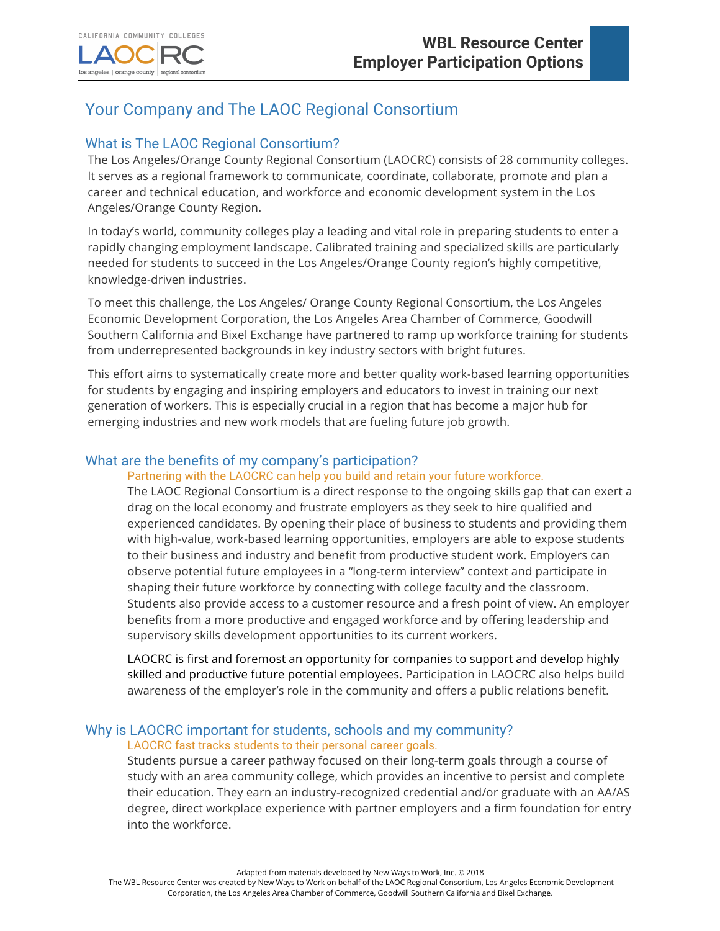los angeles | orange county

# Your Company and The LAOC Regional Consortium

# What is The LAOC Regional Consortium?

regional consortius

The Los Angeles/Orange County Regional Consortium (LAOCRC) consists of 28 community colleges. It serves as a regional framework to communicate, coordinate, collaborate, promote and plan a career and technical education, and workforce and economic development system in the Los Angeles/Orange County Region.

In today's world, community colleges play a leading and vital role in preparing students to enter a rapidly changing employment landscape. Calibrated training and specialized skills are particularly needed for students to succeed in the Los Angeles/Orange County region's highly competitive, knowledge-driven industries.

To meet this challenge, the Los Angeles/ Orange County Regional Consortium, the Los Angeles Economic Development Corporation, the Los Angeles Area Chamber of Commerce, Goodwill Southern California and Bixel Exchange have partnered to ramp up workforce training for students from underrepresented backgrounds in key industry sectors with bright futures.

This effort aims to systematically create more and better quality work-based learning opportunities for students by engaging and inspiring employers and educators to invest in training our next generation of workers. This is especially crucial in a region that has become a major hub for emerging industries and new work models that are fueling future job growth.

## What are the benefits of my company's participation?

#### Partnering with the LAOCRC can help you build and retain your future workforce.

The LAOC Regional Consortium is a direct response to the ongoing skills gap that can exert a drag on the local economy and frustrate employers as they seek to hire qualified and experienced candidates. By opening their place of business to students and providing them with high-value, work-based learning opportunities, employers are able to expose students to their business and industry and benefit from productive student work. Employers can observe potential future employees in a "long-term interview" context and participate in shaping their future workforce by connecting with college faculty and the classroom. Students also provide access to a customer resource and a fresh point of view. An employer benefits from a more productive and engaged workforce and by offering leadership and supervisory skills development opportunities to its current workers.

LAOCRC is first and foremost an opportunity for companies to support and develop highly skilled and productive future potential employees. Participation in LAOCRC also helps build awareness of the employer's role in the community and offers a public relations benefit.

#### Why is LAOCRC important for students, schools and my community? LAOCRC fast tracks students to their personal career goals.

Students pursue a career pathway focused on their long-term goals through a course of study with an area community college, which provides an incentive to persist and complete their education. They earn an industry-recognized credential and/or graduate with an AA/AS degree, direct workplace experience with partner employers and a firm foundation for entry into the workforce.

Adapted from materials developed by New Ways to Work, Inc. @ 2018

The WBL Resource Center was created by New Ways to Work on behalf of the LAOC Regional Consortium, Los Angeles Economic Development Corporation, the Los Angeles Area Chamber of Commerce, Goodwill Southern California and Bixel Exchange.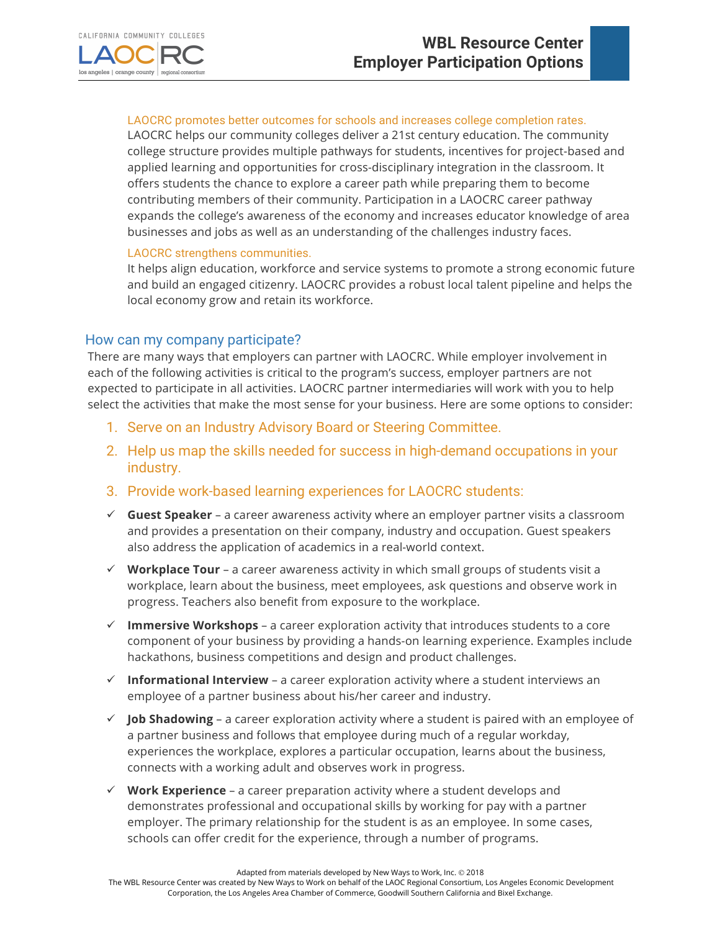

#### LAOCRC promotes better outcomes for schools and increases college completion rates.

LAOCRC helps our community colleges deliver a 21st century education. The community college structure provides multiple pathways for students, incentives for project-based and applied learning and opportunities for cross-disciplinary integration in the classroom. It offers students the chance to explore a career path while preparing them to become contributing members of their community. Participation in a LAOCRC career pathway expands the college's awareness of the economy and increases educator knowledge of area businesses and jobs as well as an understanding of the challenges industry faces.

#### LAOCRC strengthens communities.

It helps align education, workforce and service systems to promote a strong economic future and build an engaged citizenry. LAOCRC provides a robust local talent pipeline and helps the local economy grow and retain its workforce.

## How can my company participate?

There are many ways that employers can partner with LAOCRC. While employer involvement in each of the following activities is critical to the program's success, employer partners are not expected to participate in all activities. LAOCRC partner intermediaries will work with you to help select the activities that make the most sense for your business. Here are some options to consider:

- 1. Serve on an Industry Advisory Board or Steering Committee.
- 2. Help us map the skills needed for success in high-demand occupations in your industry.
- 3. Provide work-based learning experiences for LAOCRC students:
- ü **Guest Speaker** a career awareness activity where an employer partner visits a classroom and provides a presentation on their company, industry and occupation. Guest speakers also address the application of academics in a real-world context.
- $\checkmark$  Workplace Tour a career awareness activity in which small groups of students visit a workplace, learn about the business, meet employees, ask questions and observe work in progress. Teachers also benefit from exposure to the workplace.
- $\checkmark$  Immersive Workshops a career exploration activity that introduces students to a core component of your business by providing a hands-on learning experience. Examples include hackathons, business competitions and design and product challenges.
- $\checkmark$  Informational Interview a career exploration activity where a student interviews an employee of a partner business about his/her career and industry.
- $\checkmark$  **Job Shadowing** a career exploration activity where a student is paired with an employee of a partner business and follows that employee during much of a regular workday, experiences the workplace, explores a particular occupation, learns about the business, connects with a working adult and observes work in progress.
- $\checkmark$  **Work Experience** a career preparation activity where a student develops and demonstrates professional and occupational skills by working for pay with a partner employer. The primary relationship for the student is as an employee. In some cases, schools can offer credit for the experience, through a number of programs.

Adapted from materials developed by New Ways to Work, Inc. @ 2018